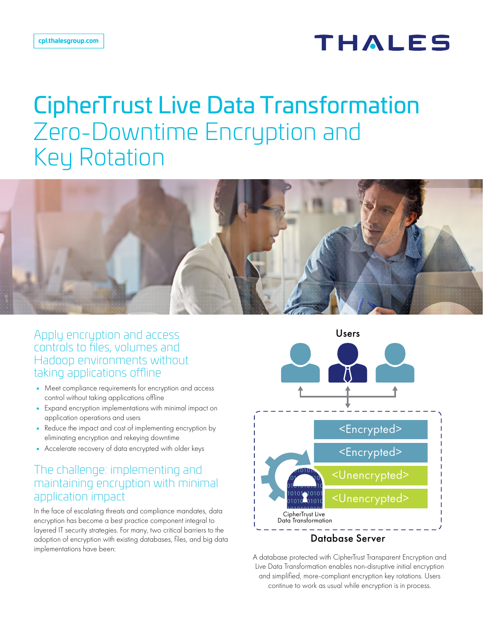## THALES

# CipherTrust Live Data Transformation Zero-Downtime Encryption and Key Rotation



Apply encryption and access controls to files, volumes and Hadoop environments without taking applications offline

- Meet compliance requirements for encryption and access control without taking applications offline
- Expand encryption implementations with minimal impact on application operations and users
- Reduce the impact and cost of implementing encryption by eliminating encryption and rekeying downtime
- Accelerate recovery of data encrypted with older keys

#### The challenge: implementing and maintaining encryption with minimal application impact

In the face of escalating threats and compliance mandates, data encryption has become a best practice component integral to layered IT security strategies. For many, two critical barriers to the adoption of encryption with existing databases, files, and big data implementations have been:



A database protected with CipherTrust Transparent Encryption and Live Data Transformation enables non-disruptive initial encryption and simplified, more-compliant encryption key rotations. Users continue to work as usual while encryption is in process.